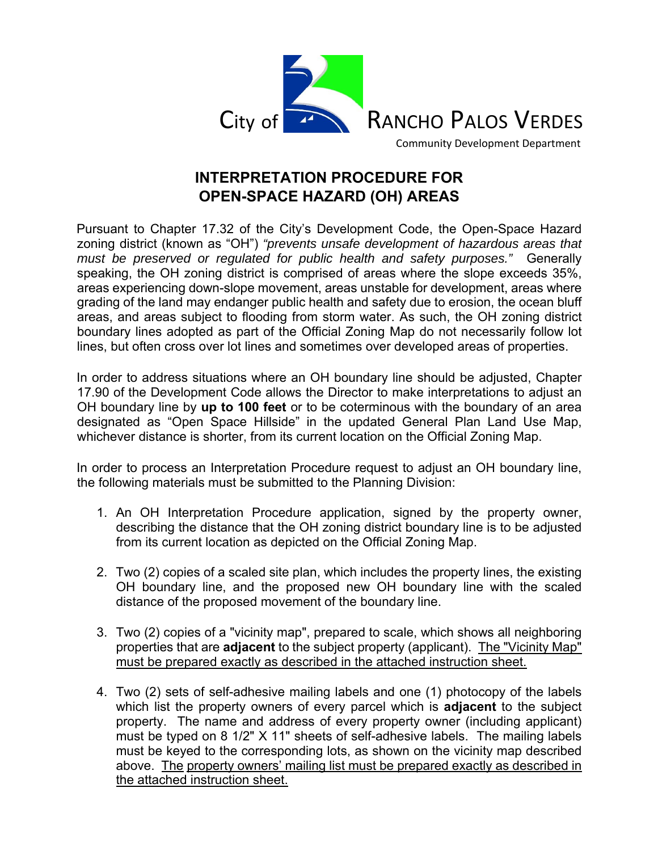

**INTERPRETATION PROCEDURE FOR OPEN-SPACE HAZARD (OH) AREAS** 

Pursuant to Chapter 17.32 of the City's Development Code, the Open-Space Hazard zoning district (known as "OH") *"prevents unsafe development of hazardous areas that must be preserved or regulated for public health and safety purposes."* Generally speaking, the OH zoning district is comprised of areas where the slope exceeds 35%, areas experiencing down-slope movement, areas unstable for development, areas where grading of the land may endanger public health and safety due to erosion, the ocean bluff areas, and areas subject to flooding from storm water. As such, the OH zoning district boundary lines adopted as part of the Official Zoning Map do not necessarily follow lot lines, but often cross over lot lines and sometimes over developed areas of properties.

In order to address situations where an OH boundary line should be adjusted, Chapter 17.90 of the Development Code allows the Director to make interpretations to adjust an OH boundary line by **up to 100 feet** or to be coterminous with the boundary of an area designated as "Open Space Hillside" in the updated General Plan Land Use Map, whichever distance is shorter, from its current location on the Official Zoning Map.

In order to process an Interpretation Procedure request to adjust an OH boundary line, the following materials must be submitted to the Planning Division:

- 1. An OH Interpretation Procedure application, signed by the property owner, describing the distance that the OH zoning district boundary line is to be adjusted from its current location as depicted on the Official Zoning Map.
- 2. Two (2) copies of a scaled site plan, which includes the property lines, the existing OH boundary line, and the proposed new OH boundary line with the scaled distance of the proposed movement of the boundary line.
- 3. Two (2) copies of a "vicinity map", prepared to scale, which shows all neighboring properties that are **adjacent** to the subject property (applicant). The "Vicinity Map" must be prepared exactly as described in the attached instruction sheet.
- 4. Two (2) sets of self-adhesive mailing labels and one (1) photocopy of the labels which list the property owners of every parcel which is **adjacent** to the subject property. The name and address of every property owner (including applicant) must be typed on 8 1/2" X 11" sheets of self-adhesive labels. The mailing labels must be keyed to the corresponding lots, as shown on the vicinity map described above. The property owners' mailing list must be prepared exactly as described in the attached instruction sheet.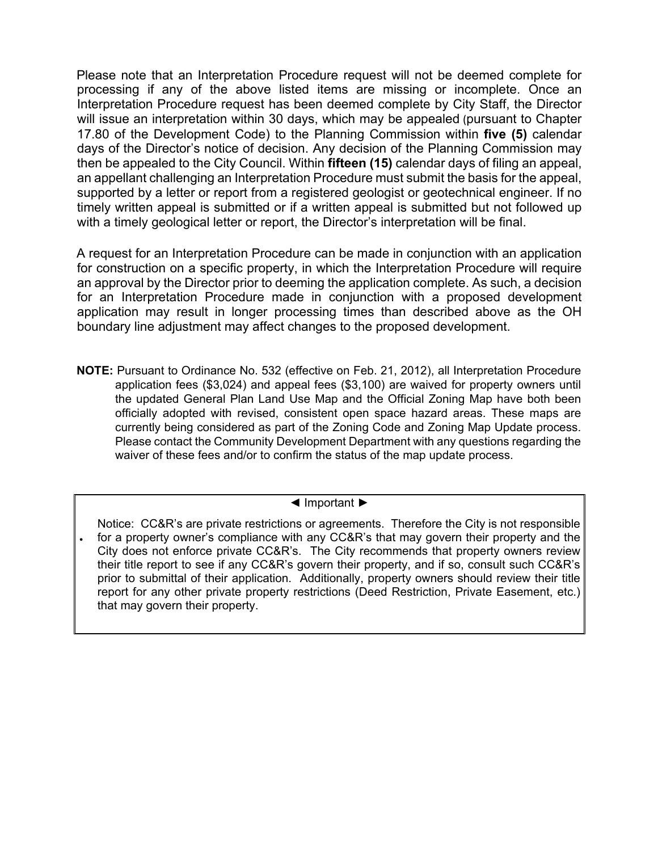Please note that an Interpretation Procedure request will not be deemed complete for processing if any of the above listed items are missing or incomplete. Once an Interpretation Procedure request has been deemed complete by City Staff, the Director will issue an interpretation within 30 days, which may be appealed (pursuant to Chapter 17.80 of the Development Code) to the Planning Commission within **five (5)** calendar days of the Director's notice of decision. Any decision of the Planning Commission may then be appealed to the City Council. Within **fifteen (15)** calendar days of filing an appeal, an appellant challenging an Interpretation Procedure must submit the basis for the appeal, supported by a letter or report from a registered geologist or geotechnical engineer. If no timely written appeal is submitted or if a written appeal is submitted but not followed up with a timely geological letter or report, the Director's interpretation will be final.

A request for an Interpretation Procedure can be made in conjunction with an application for construction on a specific property, in which the Interpretation Procedure will require an approval by the Director prior to deeming the application complete. As such, a decision for an Interpretation Procedure made in conjunction with a proposed development application may result in longer processing times than described above as the OH boundary line adjustment may affect changes to the proposed development.

**NOTE:** Pursuant to Ordinance No. 532 (effective on Feb. 21, 2012), all Interpretation Procedure application fees (\$3,024) and appeal fees (\$3,100) are waived for property owners until the updated General Plan Land Use Map and the Official Zoning Map have both been officially adopted with revised, consistent open space hazard areas. These maps are currently being considered as part of the Zoning Code and Zoning Map Update process. Please contact the Community Development Department with any questions regarding the waiver of these fees and/or to confirm the status of the map update process.

## ◄ Important ►

Notice: CC&R's are private restrictions or agreements. Therefore the City is not responsible for a property owner's compliance with any CC&R's that may govern their property and the City does not enforce private CC&R's. The City recommends that property owners review their title report to see if any CC&R's govern their property, and if so, consult such CC&R's prior to submittal of their application. Additionally, property owners should review their title report for any other private property restrictions (Deed Restriction, Private Easement, etc.)

•

that may govern their property.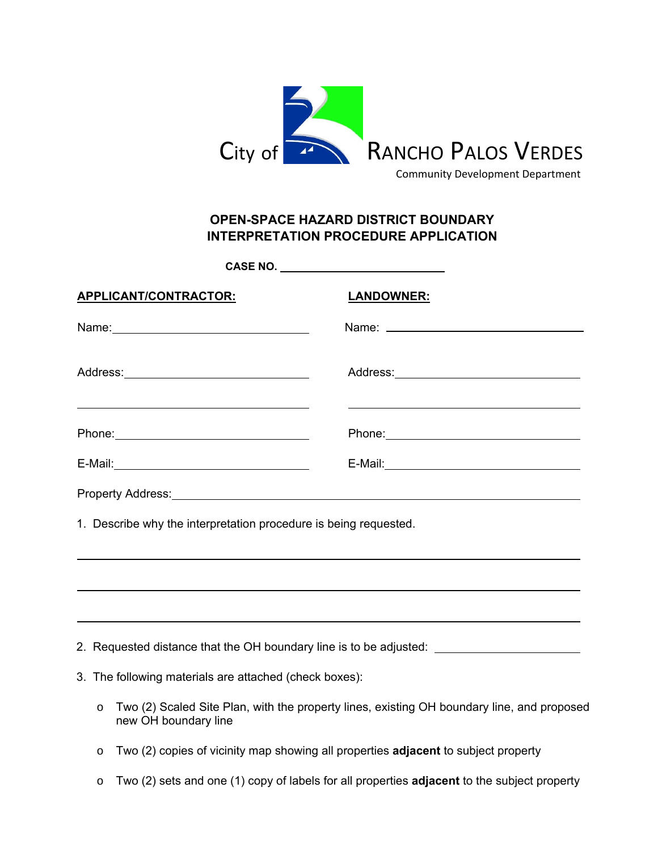

Community Development Department

## **OPEN-SPACE HAZARD DISTRICT BOUNDARY INTERPRETATION PROCEDURE APPLICATION**

|                                                                                                                                                                                                                                      | CASE NO. ____________________________                                                                                |
|--------------------------------------------------------------------------------------------------------------------------------------------------------------------------------------------------------------------------------------|----------------------------------------------------------------------------------------------------------------------|
| APPLICANT/CONTRACTOR:                                                                                                                                                                                                                | <b>LANDOWNER:</b>                                                                                                    |
| Name: Name and the service of the service of the service of the service of the service of the service of the service of the service of the service of the service of the service of the service of the service of the service        |                                                                                                                      |
| <u>state and the state of the state of the state of the state of the state of the state of the state of the state of the state of the state of the state of the state of the state of the state of the state of the state of the</u> | <u> Alexandro de la contrada de la contrada de la contrada de la contrada de la contrada de la contrada de la co</u> |
|                                                                                                                                                                                                                                      |                                                                                                                      |
|                                                                                                                                                                                                                                      |                                                                                                                      |
|                                                                                                                                                                                                                                      |                                                                                                                      |
| $\mathcal{L}$ , and a set of the set of the set of the set of the set of the set of the set of the set of the set of the set of the set of the set of the set of the set of the set of the set of the set of the set of the set of   |                                                                                                                      |

1. Describe why the interpretation procedure is being requested.

- 2. Requested distance that the OH boundary line is to be adjusted:
- 3. The following materials are attached (check boxes):

 $\overline{a}$ 

 $\overline{a}$ 

- o Two (2) Scaled Site Plan, with the property lines, existing OH boundary line, and proposed new OH boundary line
- o Two (2) copies of vicinity map showing all properties **adjacent** to subject property
- o Two (2) sets and one (1) copy of labels for all properties **adjacent** to the subject property